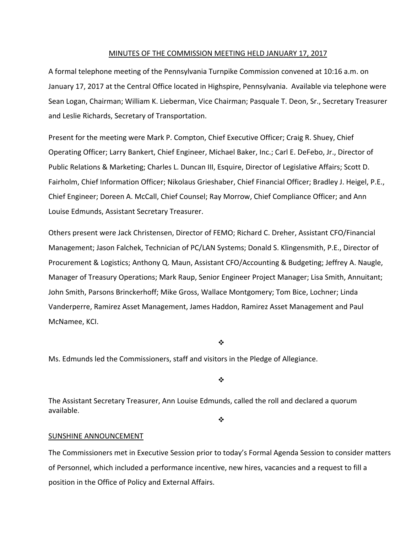#### MINUTES OF THE COMMISSION MEETING HELD JANUARY 17, 2017

A formal telephone meeting of the Pennsylvania Turnpike Commission convened at 10:16 a.m. on January 17, 2017 at the Central Office located in Highspire, Pennsylvania. Available via telephone were Sean Logan, Chairman; William K. Lieberman, Vice Chairman; Pasquale T. Deon, Sr., Secretary Treasurer and Leslie Richards, Secretary of Transportation.

Present for the meeting were Mark P. Compton, Chief Executive Officer; Craig R. Shuey, Chief Operating Officer; Larry Bankert, Chief Engineer, Michael Baker, Inc.; Carl E. DeFebo, Jr., Director of Public Relations & Marketing; Charles L. Duncan III, Esquire, Director of Legislative Affairs; Scott D. Fairholm, Chief Information Officer; Nikolaus Grieshaber, Chief Financial Officer; Bradley J. Heigel, P.E., Chief Engineer; Doreen A. McCall, Chief Counsel; Ray Morrow, Chief Compliance Officer; and Ann Louise Edmunds, Assistant Secretary Treasurer.

Others present were Jack Christensen, Director of FEMO; Richard C. Dreher, Assistant CFO/Financial Management; Jason Falchek, Technician of PC/LAN Systems; Donald S. Klingensmith, P.E., Director of Procurement & Logistics; Anthony Q. Maun, Assistant CFO/Accounting & Budgeting; Jeffrey A. Naugle, Manager of Treasury Operations; Mark Raup, Senior Engineer Project Manager; Lisa Smith, Annuitant; John Smith, Parsons Brinckerhoff; Mike Gross, Wallace Montgomery; Tom Bice, Lochner; Linda Vanderperre, Ramirez Asset Management, James Haddon, Ramirez Asset Management and Paul McNamee, KCI.

❖

Ms. Edmunds led the Commissioners, staff and visitors in the Pledge of Allegiance.

❖

The Assistant Secretary Treasurer, Ann Louise Edmunds, called the roll and declared a quorum available.

 $\frac{1}{2}$ 

#### SUNSHINE ANNOUNCEMENT

The Commissioners met in Executive Session prior to today's Formal Agenda Session to consider matters of Personnel, which included a performance incentive, new hires, vacancies and a request to fill a position in the Office of Policy and External Affairs.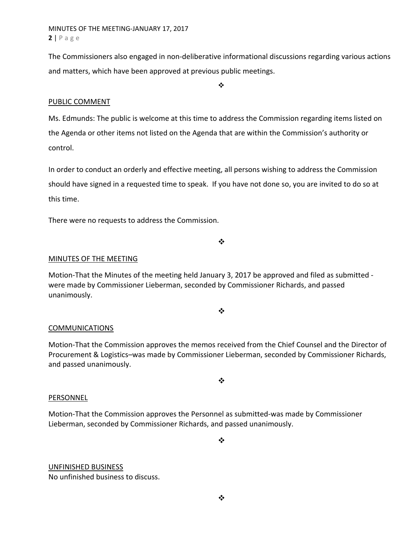MINUTES OF THE MEETING‐JANUARY 17, 2017 **2** | Page

The Commissioners also engaged in non‐deliberative informational discussions regarding various actions and matters, which have been approved at previous public meetings.

 $\frac{1}{2}$ 

## PUBLIC COMMENT

Ms. Edmunds: The public is welcome at this time to address the Commission regarding items listed on the Agenda or other items not listed on the Agenda that are within the Commission's authority or control.

In order to conduct an orderly and effective meeting, all persons wishing to address the Commission should have signed in a requested time to speak. If you have not done so, you are invited to do so at this time.

There were no requests to address the Commission.

MINUTES OF THE MEETING

Motion-That the Minutes of the meeting held January 3, 2017 be approved and filed as submitted were made by Commissioner Lieberman, seconded by Commissioner Richards, and passed unanimously.

#### $\cdot$

❖

#### COMMUNICATIONS

Motion‐That the Commission approves the memos received from the Chief Counsel and the Director of Procurement & Logistics–was made by Commissioner Lieberman, seconded by Commissioner Richards, and passed unanimously.

 $\bullet^{\bullet}_{\bullet} \bullet$ 

#### PERSONNEL

Motion‐That the Commission approves the Personnel as submitted‐was made by Commissioner Lieberman, seconded by Commissioner Richards, and passed unanimously.

 $\cdot$ 

# UNFINISHED BUSINESS

No unfinished business to discuss.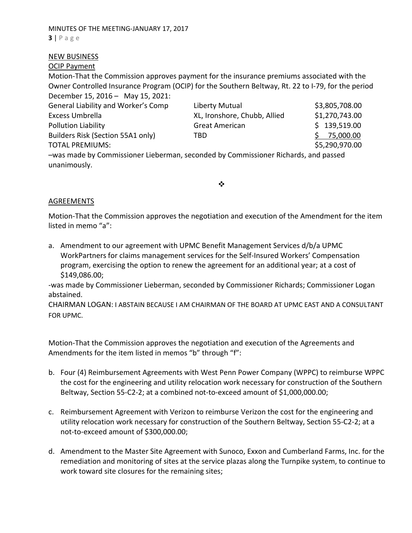## NEW BUSINESS

## OCIP Payment

Motion‐That the Commission approves payment for the insurance premiums associated with the Owner Controlled Insurance Program (OCIP) for the Southern Beltway, Rt. 22 to I‐79, for the period December 15, 2016 – May 15, 2021:

| General Liability and Worker's Comp                                                | Liberty Mutual               | \$3,805,708.00 |
|------------------------------------------------------------------------------------|------------------------------|----------------|
| Excess Umbrella                                                                    | XL, Ironshore, Chubb, Allied | \$1,270,743.00 |
| Pollution Liability                                                                | <b>Great American</b>        | \$139,519.00   |
| Builders Risk (Section 55A1 only)                                                  | TBD                          | 75,000.00      |
| <b>TOTAL PREMIUMS:</b>                                                             |                              | \$5,290,970.00 |
| -was made by Commissioner Lieberman, seconded by Commissioner Richards, and passed |                              |                |
| unanimously.                                                                       |                              |                |
|                                                                                    |                              |                |

❖

## AGREEMENTS

Motion‐That the Commission approves the negotiation and execution of the Amendment for the item listed in memo "a":

a. Amendment to our agreement with UPMC Benefit Management Services d/b/a UPMC WorkPartners for claims management services for the Self‐Insured Workers' Compensation program, exercising the option to renew the agreement for an additional year; at a cost of \$149,086.00;

‐was made by Commissioner Lieberman, seconded by Commissioner Richards; Commissioner Logan abstained.

CHAIRMAN LOGAN: I ABSTAIN BECAUSE I AM CHAIRMAN OF THE BOARD AT UPMC EAST AND A CONSULTANT FOR UPMC.

Motion‐That the Commission approves the negotiation and execution of the Agreements and Amendments for the item listed in memos "b" through "f":

- b. Four (4) Reimbursement Agreements with West Penn Power Company (WPPC) to reimburse WPPC the cost for the engineering and utility relocation work necessary for construction of the Southern Beltway, Section 55-C2-2; at a combined not-to-exceed amount of \$1,000,000.00;
- c. Reimbursement Agreement with Verizon to reimburse Verizon the cost for the engineering and utility relocation work necessary for construction of the Southern Beltway, Section 55‐C2‐2; at a not‐to‐exceed amount of \$300,000.00;
- d. Amendment to the Master Site Agreement with Sunoco, Exxon and Cumberland Farms, Inc. for the remediation and monitoring of sites at the service plazas along the Turnpike system, to continue to work toward site closures for the remaining sites;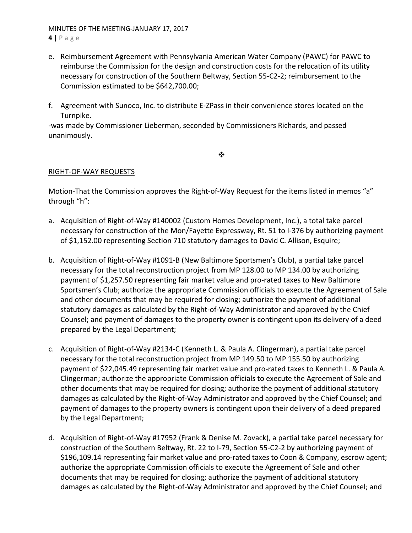## MINUTES OF THE MEETING‐JANUARY 17, 2017

**4** | Page

- e. Reimbursement Agreement with Pennsylvania American Water Company (PAWC) for PAWC to reimburse the Commission for the design and construction costs for the relocation of its utility necessary for construction of the Southern Beltway, Section 55‐C2‐2; reimbursement to the Commission estimated to be \$642,700.00;
- f. Agreement with Sunoco, Inc. to distribute E‐ZPass in their convenience stores located on the Turnpike.

‐was made by Commissioner Lieberman, seconded by Commissioners Richards, and passed unanimously.

 $\cdot$ 

## RIGHT‐OF‐WAY REQUESTS

Motion-That the Commission approves the Right-of-Way Request for the items listed in memos "a" through "h":

- a. Acquisition of Right‐of‐Way #140002 (Custom Homes Development, Inc.), a total take parcel necessary for construction of the Mon/Fayette Expressway, Rt. 51 to I‐376 by authorizing payment of \$1,152.00 representing Section 710 statutory damages to David C. Allison, Esquire;
- b. Acquisition of Right‐of‐Way #1091‐B (New Baltimore Sportsmen's Club), a partial take parcel necessary for the total reconstruction project from MP 128.00 to MP 134.00 by authorizing payment of \$1,257.50 representing fair market value and pro‐rated taxes to New Baltimore Sportsmen's Club; authorize the appropriate Commission officials to execute the Agreement of Sale and other documents that may be required for closing; authorize the payment of additional statutory damages as calculated by the Right‐of‐Way Administrator and approved by the Chief Counsel; and payment of damages to the property owner is contingent upon its delivery of a deed prepared by the Legal Department;
- c. Acquisition of Right‐of‐Way #2134‐C (Kenneth L. & Paula A. Clingerman), a partial take parcel necessary for the total reconstruction project from MP 149.50 to MP 155.50 by authorizing payment of \$22,045.49 representing fair market value and pro‐rated taxes to Kenneth L. & Paula A. Clingerman; authorize the appropriate Commission officials to execute the Agreement of Sale and other documents that may be required for closing; authorize the payment of additional statutory damages as calculated by the Right‐of‐Way Administrator and approved by the Chief Counsel; and payment of damages to the property owners is contingent upon their delivery of a deed prepared by the Legal Department;
- d. Acquisition of Right‐of‐Way #17952 (Frank & Denise M. Zovack), a partial take parcel necessary for construction of the Southern Beltway, Rt. 22 to I‐79, Section 55‐C2‐2 by authorizing payment of \$196,109.14 representing fair market value and pro‐rated taxes to Coon & Company, escrow agent; authorize the appropriate Commission officials to execute the Agreement of Sale and other documents that may be required for closing; authorize the payment of additional statutory damages as calculated by the Right‐of‐Way Administrator and approved by the Chief Counsel; and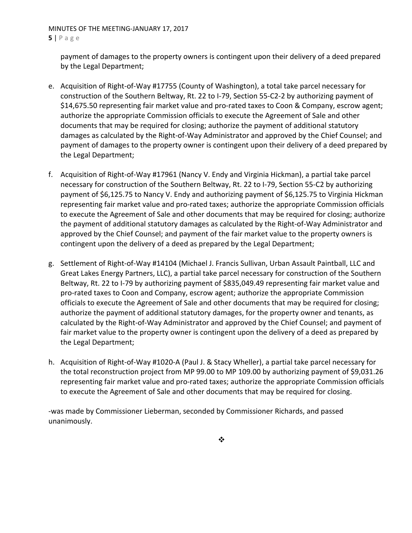## MINUTES OF THE MEETING‐JANUARY 17, 2017 **5** | Page

payment of damages to the property owners is contingent upon their delivery of a deed prepared by the Legal Department;

- e. Acquisition of Right‐of‐Way #17755 (County of Washington), a total take parcel necessary for construction of the Southern Beltway, Rt. 22 to I‐79, Section 55‐C2‐2 by authorizing payment of \$14,675.50 representing fair market value and pro‐rated taxes to Coon & Company, escrow agent; authorize the appropriate Commission officials to execute the Agreement of Sale and other documents that may be required for closing; authorize the payment of additional statutory damages as calculated by the Right‐of‐Way Administrator and approved by the Chief Counsel; and payment of damages to the property owner is contingent upon their delivery of a deed prepared by the Legal Department;
- f. Acquisition of Right‐of‐Way #17961 (Nancy V. Endy and Virginia Hickman), a partial take parcel necessary for construction of the Southern Beltway, Rt. 22 to I‐79, Section 55‐C2 by authorizing payment of \$6,125.75 to Nancy V. Endy and authorizing payment of \$6,125.75 to Virginia Hickman representing fair market value and pro‐rated taxes; authorize the appropriate Commission officials to execute the Agreement of Sale and other documents that may be required for closing; authorize the payment of additional statutory damages as calculated by the Right‐of‐Way Administrator and approved by the Chief Counsel; and payment of the fair market value to the property owners is contingent upon the delivery of a deed as prepared by the Legal Department;
- g. Settlement of Right‐of‐Way #14104 (Michael J. Francis Sullivan, Urban Assault Paintball, LLC and Great Lakes Energy Partners, LLC), a partial take parcel necessary for construction of the Southern Beltway, Rt. 22 to I-79 by authorizing payment of \$835,049.49 representing fair market value and pro‐rated taxes to Coon and Company, escrow agent; authorize the appropriate Commission officials to execute the Agreement of Sale and other documents that may be required for closing; authorize the payment of additional statutory damages, for the property owner and tenants, as calculated by the Right‐of‐Way Administrator and approved by the Chief Counsel; and payment of fair market value to the property owner is contingent upon the delivery of a deed as prepared by the Legal Department;
- h. Acquisition of Right‐of‐Way #1020‐A (Paul J. & Stacy Wheller), a partial take parcel necessary for the total reconstruction project from MP 99.00 to MP 109.00 by authorizing payment of \$9,031.26 representing fair market value and pro‐rated taxes; authorize the appropriate Commission officials to execute the Agreement of Sale and other documents that may be required for closing.

‐was made by Commissioner Lieberman, seconded by Commissioner Richards, and passed unanimously.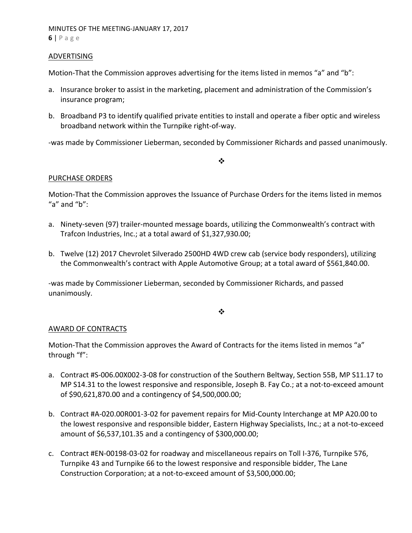#### ADVERTISING

Motion-That the Commission approves advertising for the items listed in memos "a" and "b":

- a. Insurance broker to assist in the marketing, placement and administration of the Commission's insurance program;
- b. Broadband P3 to identify qualified private entities to install and operate a fiber optic and wireless broadband network within the Turnpike right‐of‐way.

‐was made by Commissioner Lieberman, seconded by Commissioner Richards and passed unanimously.

#### $\cdot$

#### PURCHASE ORDERS

Motion‐That the Commission approves the Issuance of Purchase Orders for the items listed in memos "a" and " $b$ ":

- a. Ninety-seven (97) trailer-mounted message boards, utilizing the Commonwealth's contract with Trafcon Industries, Inc.; at a total award of \$1,327,930.00;
- b. Twelve (12) 2017 Chevrolet Silverado 2500HD 4WD crew cab (service body responders), utilizing the Commonwealth's contract with Apple Automotive Group; at a total award of \$561,840.00.

‐was made by Commissioner Lieberman, seconded by Commissioner Richards, and passed unanimously.

 $\bullet^{\bullet}_{\bullet} \bullet$ 

#### AWARD OF CONTRACTS

Motion‐That the Commission approves the Award of Contracts for the items listed in memos "a" through "f":

- a. Contract #S‐006.00X002‐3‐08 for construction of the Southern Beltway, Section 55B, MP S11.17 to MP S14.31 to the lowest responsive and responsible, Joseph B. Fay Co.; at a not-to-exceed amount of \$90,621,870.00 and a contingency of \$4,500,000.00;
- b. Contract #A‐020.00R001‐3‐02 for pavement repairs for Mid‐County Interchange at MP A20.00 to the lowest responsive and responsible bidder, Eastern Highway Specialists, Inc.; at a not‐to‐exceed amount of \$6,537,101.35 and a contingency of \$300,000.00;
- c. Contract #EN‐00198‐03‐02 for roadway and miscellaneous repairs on Toll I‐376, Turnpike 576, Turnpike 43 and Turnpike 66 to the lowest responsive and responsible bidder, The Lane Construction Corporation; at a not‐to‐exceed amount of \$3,500,000.00;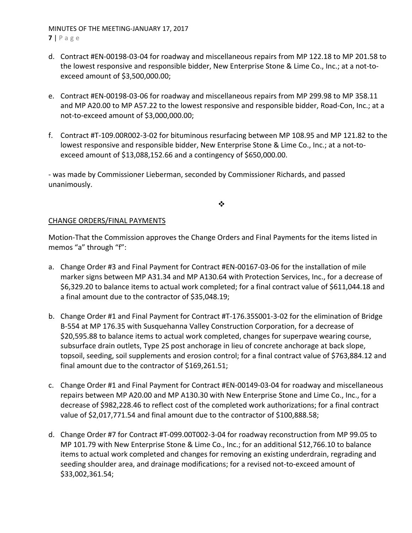## MINUTES OF THE MEETING‐JANUARY 17, 2017 **7** | Page

- d. Contract #EN‐00198‐03‐04 for roadway and miscellaneous repairs from MP 122.18 to MP 201.58 to the lowest responsive and responsible bidder, New Enterprise Stone & Lime Co., Inc.; at a not‐to‐ exceed amount of \$3,500,000.00;
- e. Contract #EN‐00198‐03‐06 for roadway and miscellaneous repairs from MP 299.98 to MP 358.11 and MP A20.00 to MP A57.22 to the lowest responsive and responsible bidder, Road‐Con, Inc.; at a not‐to‐exceed amount of \$3,000,000.00;
- f. Contract #T‐109.00R002‐3‐02 for bituminous resurfacing between MP 108.95 and MP 121.82 to the lowest responsive and responsible bidder, New Enterprise Stone & Lime Co., Inc.; at a not‐to‐ exceed amount of \$13,088,152.66 and a contingency of \$650,000.00.

‐ was made by Commissioner Lieberman, seconded by Commissioner Richards, and passed unanimously.

❖

## CHANGE ORDERS/FINAL PAYMENTS

Motion‐That the Commission approves the Change Orders and Final Payments for the items listed in memos "a" through "f":

- a. Change Order #3 and Final Payment for Contract #EN‐00167‐03‐06 for the installation of mile marker signs between MP A31.34 and MP A130.64 with Protection Services, Inc., for a decrease of \$6,329.20 to balance items to actual work completed; for a final contract value of \$611,044.18 and a final amount due to the contractor of \$35,048.19;
- b. Change Order #1 and Final Payment for Contract #T-176.35S001-3-02 for the elimination of Bridge B‐554 at MP 176.35 with Susquehanna Valley Construction Corporation, for a decrease of \$20,595.88 to balance items to actual work completed, changes for superpave wearing course, subsurface drain outlets, Type 2S post anchorage in lieu of concrete anchorage at back slope, topsoil, seeding, soil supplements and erosion control; for a final contract value of \$763,884.12 and final amount due to the contractor of \$169,261.51;
- c. Change Order #1 and Final Payment for Contract #EN‐00149‐03‐04 for roadway and miscellaneous repairs between MP A20.00 and MP A130.30 with New Enterprise Stone and Lime Co., Inc., for a decrease of \$982,228.46 to reflect cost of the completed work authorizations; for a final contract value of \$2,017,771.54 and final amount due to the contractor of \$100,888.58;
- d. Change Order #7 for Contract #T‐099.00T002‐3‐04 for roadway reconstruction from MP 99.05 to MP 101.79 with New Enterprise Stone & Lime Co., Inc.; for an additional \$12,766.10 to balance items to actual work completed and changes for removing an existing underdrain, regrading and seeding shoulder area, and drainage modifications; for a revised not-to-exceed amount of \$33,002,361.54;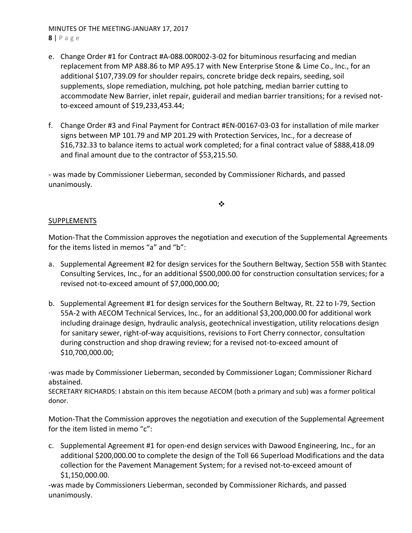MINUTES OF THE MEETING‐JANUARY 17, 2017 **8** | Page

- e. Change Order #1 for Contract #A‐088.00R002‐3‐02 for bituminous resurfacing and median replacement from MP A88.86 to MP A95.17 with New Enterprise Stone & Lime Co., Inc., for an additional \$107,739.09 for shoulder repairs, concrete bridge deck repairs, seeding, soil supplements, slope remediation, mulching, pot hole patching, median barrier cutting to accommodate New Barrier, inlet repair, guiderail and median barrier transitions; for a revised not‐ to‐exceed amount of \$19,233,453.44;
- f. Change Order #3 and Final Payment for Contract #EN‐00167‐03‐03 for installation of mile marker signs between MP 101.79 and MP 201.29 with Protection Services, Inc., for a decrease of \$16,732.33 to balance items to actual work completed; for a final contract value of \$888,418.09 and final amount due to the contractor of \$53,215.50.

‐ was made by Commissioner Lieberman, seconded by Commissioner Richards, and passed unanimously.

 $\cdot$ 

## SUPPLEMENTS

Motion‐That the Commission approves the negotiation and execution of the Supplemental Agreements for the items listed in memos "a" and "b":

- a. Supplemental Agreement #2 for design services for the Southern Beltway, Section 55B with Stantec Consulting Services, Inc., for an additional \$500,000.00 for construction consultation services; for a revised not‐to‐exceed amount of \$7,000,000.00;
- b. Supplemental Agreement #1 for design services for the Southern Beltway, Rt. 22 to I‐79, Section 55A-2 with AECOM Technical Services, Inc., for an additional \$3,200,000.00 for additional work including drainage design, hydraulic analysis, geotechnical investigation, utility relocations design for sanitary sewer, right‐of‐way acquisitions, revisions to Fort Cherry connector, consultation during construction and shop drawing review; for a revised not‐to‐exceed amount of \$10,700,000.00;

‐was made by Commissioner Lieberman, seconded by Commissioner Logan; Commissioner Richard abstained.

SECRETARY RICHARDS: I abstain on this item because AECOM (both a primary and sub) was a former political donor.

Motion‐That the Commission approves the negotiation and execution of the Supplemental Agreement for the item listed in memo "c":

c. Supplemental Agreement #1 for open‐end design services with Dawood Engineering, Inc., for an additional \$200,000.00 to complete the design of the Toll 66 Superload Modifications and the data collection for the Pavement Management System; for a revised not‐to‐exceed amount of \$1,150,000.00.

‐was made by Commissioners Lieberman, seconded by Commissioner Richards, and passed unanimously.